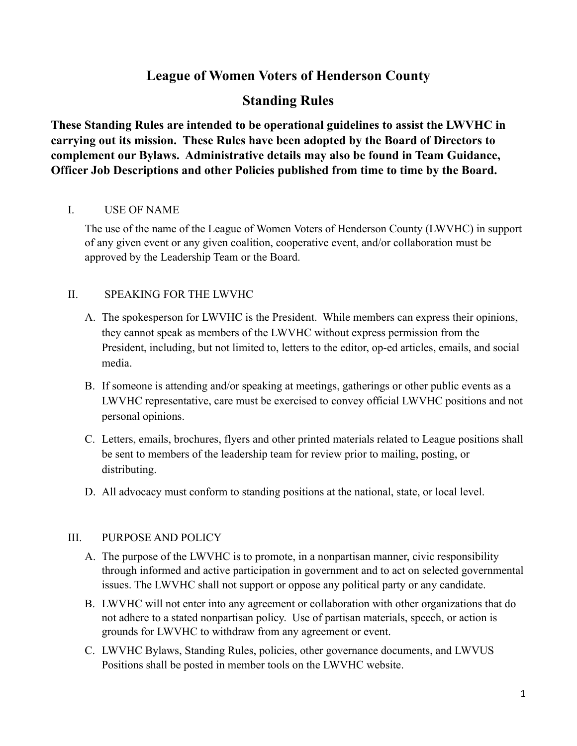# **League of Women Voters of Henderson County**

# **Standing Rules**

**These Standing Rules are intended to be operational guidelines to assist the LWVHC in carrying out its mission. These Rules have been adopted by the Board of Directors to complement our Bylaws. Administrative details may also be found in Team Guidance, Officer Job Descriptions and other Policies published from time to time by the Board.**

## I. USE OF NAME

The use of the name of the League of Women Voters of Henderson County (LWVHC) in support of any given event or any given coalition, cooperative event, and/or collaboration must be approved by the Leadership Team or the Board.

## II. SPEAKING FOR THE LWVHC

- A. The spokesperson for LWVHC is the President. While members can express their opinions, they cannot speak as members of the LWVHC without express permission from the President, including, but not limited to, letters to the editor, op-ed articles, emails, and social media.
- B. If someone is attending and/or speaking at meetings, gatherings or other public events as a LWVHC representative, care must be exercised to convey official LWVHC positions and not personal opinions.
- C. Letters, emails, brochures, flyers and other printed materials related to League positions shall be sent to members of the leadership team for review prior to mailing, posting, or distributing.
- D. All advocacy must conform to standing positions at the national, state, or local level.

## III. PURPOSE AND POLICY

- A. The purpose of the LWVHC is to promote, in a nonpartisan manner, civic responsibility through informed and active participation in government and to act on selected governmental issues. The LWVHC shall not support or oppose any political party or any candidate.
- B. LWVHC will not enter into any agreement or collaboration with other organizations that do not adhere to a stated nonpartisan policy. Use of partisan materials, speech, or action is grounds for LWVHC to withdraw from any agreement or event.
- C. LWVHC Bylaws, Standing Rules, policies, other governance documents, and LWVUS Positions shall be posted in member tools on the LWVHC website.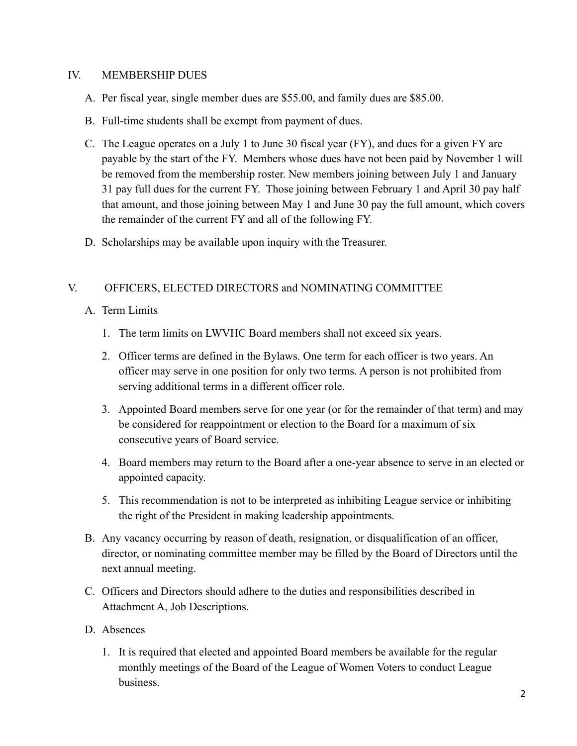#### IV. MEMBERSHIP DUES

- A. Per fiscal year, single member dues are \$55.00, and family dues are \$85.00.
- B. Full-time students shall be exempt from payment of dues.
- C. The League operates on a July 1 to June 30 fiscal year (FY), and dues for a given FY are payable by the start of the FY. Members whose dues have not been paid by November 1 will be removed from the membership roster. New members joining between July 1 and January 31 pay full dues for the current FY. Those joining between February 1 and April 30 pay half that amount, and those joining between May 1 and June 30 pay the full amount, which covers the remainder of the current FY and all of the following FY.
- D. Scholarships may be available upon inquiry with the Treasurer.

#### V. OFFICERS, ELECTED DIRECTORS and NOMINATING COMMITTEE

- A. Term Limits
	- 1. The term limits on LWVHC Board members shall not exceed six years.
	- 2. Officer terms are defined in the Bylaws. One term for each officer is two years. An officer may serve in one position for only two terms. A person is not prohibited from serving additional terms in a different officer role.
	- 3. Appointed Board members serve for one year (or for the remainder of that term) and may be considered for reappointment or election to the Board for a maximum of six consecutive years of Board service.
	- 4. Board members may return to the Board after a one-year absence to serve in an elected or appointed capacity.
	- 5. This recommendation is not to be interpreted as inhibiting League service or inhibiting the right of the President in making leadership appointments.
- B. Any vacancy occurring by reason of death, resignation, or disqualification of an officer, director, or nominating committee member may be filled by the Board of Directors until the next annual meeting.
- C. Officers and Directors should adhere to the duties and responsibilities described in Attachment A, Job Descriptions.
- D. Absences
	- 1. It is required that elected and appointed Board members be available for the regular monthly meetings of the Board of the League of Women Voters to conduct League business.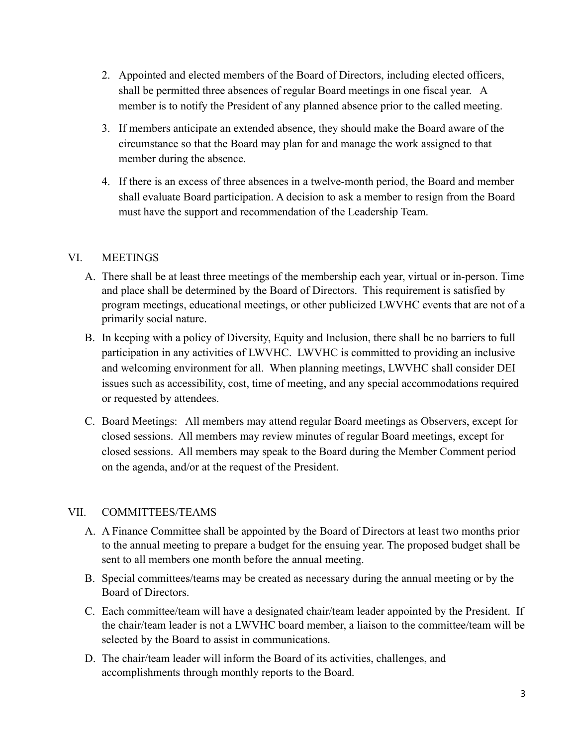- 2. Appointed and elected members of the Board of Directors, including elected officers, shall be permitted three absences of regular Board meetings in one fiscal year. A member is to notify the President of any planned absence prior to the called meeting.
- 3. If members anticipate an extended absence, they should make the Board aware of the circumstance so that the Board may plan for and manage the work assigned to that member during the absence.
- 4. If there is an excess of three absences in a twelve-month period, the Board and member shall evaluate Board participation. A decision to ask a member to resign from the Board must have the support and recommendation of the Leadership Team.

## VI. MEETINGS

- A. There shall be at least three meetings of the membership each year, virtual or in-person. Time and place shall be determined by the Board of Directors. This requirement is satisfied by program meetings, educational meetings, or other publicized LWVHC events that are not of a primarily social nature.
- B. In keeping with a policy of Diversity, Equity and Inclusion, there shall be no barriers to full participation in any activities of LWVHC. LWVHC is committed to providing an inclusive and welcoming environment for all. When planning meetings, LWVHC shall consider DEI issues such as accessibility, cost, time of meeting, and any special accommodations required or requested by attendees.
- C. Board Meetings: All members may attend regular Board meetings as Observers, except for closed sessions. All members may review minutes of regular Board meetings, except for closed sessions. All members may speak to the Board during the Member Comment period on the agenda, and/or at the request of the President.

#### VII. COMMITTEES/TEAMS

- A. A Finance Committee shall be appointed by the Board of Directors at least two months prior to the annual meeting to prepare a budget for the ensuing year. The proposed budget shall be sent to all members one month before the annual meeting.
- B. Special committees/teams may be created as necessary during the annual meeting or by the Board of Directors.
- C. Each committee/team will have a designated chair/team leader appointed by the President. If the chair/team leader is not a LWVHC board member, a liaison to the committee/team will be selected by the Board to assist in communications.
- D. The chair/team leader will inform the Board of its activities, challenges, and accomplishments through monthly reports to the Board.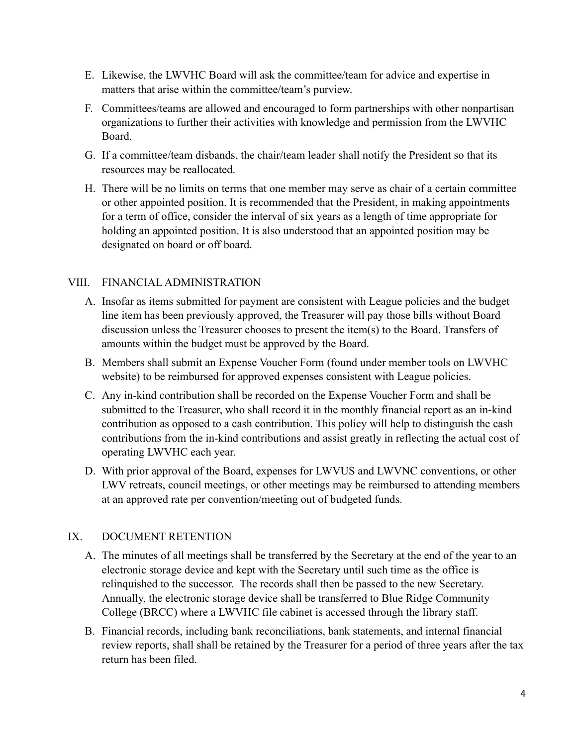- E. Likewise, the LWVHC Board will ask the committee/team for advice and expertise in matters that arise within the committee/team's purview.
- F. Committees/teams are allowed and encouraged to form partnerships with other nonpartisan organizations to further their activities with knowledge and permission from the LWVHC Board.
- G. If a committee/team disbands, the chair/team leader shall notify the President so that its resources may be reallocated.
- H. There will be no limits on terms that one member may serve as chair of a certain committee or other appointed position. It is recommended that the President, in making appointments for a term of office, consider the interval of six years as a length of time appropriate for holding an appointed position. It is also understood that an appointed position may be designated on board or off board.

## VIII. FINANCIAL ADMINISTRATION

- A. Insofar as items submitted for payment are consistent with League policies and the budget line item has been previously approved, the Treasurer will pay those bills without Board discussion unless the Treasurer chooses to present the item(s) to the Board. Transfers of amounts within the budget must be approved by the Board.
- B. Members shall submit an Expense Voucher Form (found under member tools on LWVHC website) to be reimbursed for approved expenses consistent with League policies.
- C. Any in-kind contribution shall be recorded on the Expense Voucher Form and shall be submitted to the Treasurer, who shall record it in the monthly financial report as an in-kind contribution as opposed to a cash contribution. This policy will help to distinguish the cash contributions from the in-kind contributions and assist greatly in reflecting the actual cost of operating LWVHC each year.
- D. With prior approval of the Board, expenses for LWVUS and LWVNC conventions, or other LWV retreats, council meetings, or other meetings may be reimbursed to attending members at an approved rate per convention/meeting out of budgeted funds.

#### IX. DOCUMENT RETENTION

- A. The minutes of all meetings shall be transferred by the Secretary at the end of the year to an electronic storage device and kept with the Secretary until such time as the office is relinquished to the successor. The records shall then be passed to the new Secretary. Annually, the electronic storage device shall be transferred to Blue Ridge Community College (BRCC) where a LWVHC file cabinet is accessed through the library staff.
- B. Financial records, including bank reconciliations, bank statements, and internal financial review reports, shall shall be retained by the Treasurer for a period of three years after the tax return has been filed.